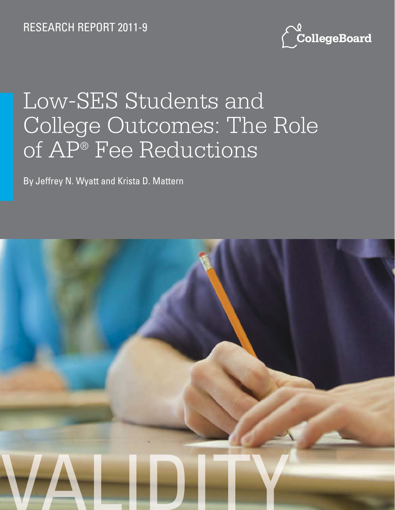RESEARCH REPORT 2011-9



# Low-SES Students and College Outcomes: The Role of AP® Fee Reductions

By Jeffrey N. Wyatt and Krista D. Mattern

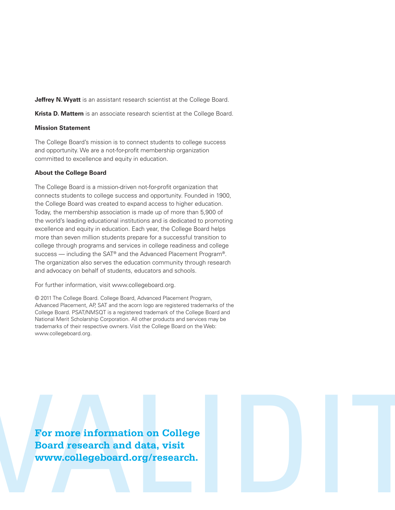**Jeffrey N. Wyatt** is an assistant research scientist at the College Board.

**Krista D. Mattern** is an associate research scientist at the College Board.

#### **Mission Statement**

The College Board's mission is to connect students to college success and opportunity. We are a not-for-profit membership organization committed to excellence and equity in education.

#### **About the College Board**

The College Board is a mission-driven not-for-profit organization that connects students to college success and opportunity. Founded in 1900, the College Board was created to expand access to higher education. Today, the membership association is made up of more than 5,900 of the world's leading educational institutions and is dedicated to promoting excellence and equity in education. Each year, the College Board helps more than seven million students prepare for a successful transition to college through programs and services in college readiness and college success — including the SAT<sup>®</sup> and the Advanced Placement Program<sup>®</sup>. The organization also serves the education community through research and advocacy on behalf of students, educators and schools.

For further information, visit www.collegeboard.org.

© 2011 The College Board. College Board, Advanced Placement Program, Advanced Placement, AP, SAT and the acorn logo are registered trademarks of the College Board. PSAT/NMSQT is a registered trademark of the College Board and National Merit Scholarship Corporation. All other products and services may be trademarks of their respective owners. Visit the College Board on the Web: www.collegeboard.org.

For more information on College<br>Board research and data, visit<br>www.collegeboard.org/research. **Board research and data, visit www.collegeboard.org/research.**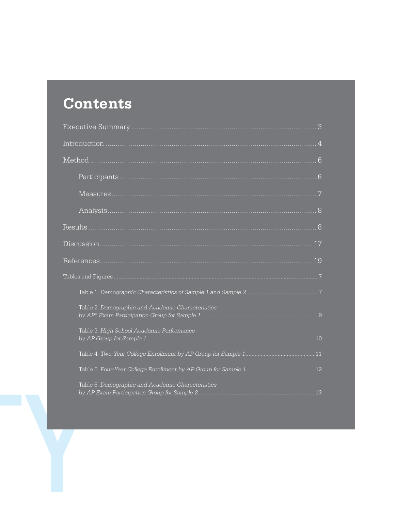# **Contents**

| Table 2. Demographic and Academic Characteristics |  |
|---------------------------------------------------|--|
| Table 3. High School Academic Performance         |  |
|                                                   |  |
|                                                   |  |
| Table 6. Demographic and Academic Characteristics |  |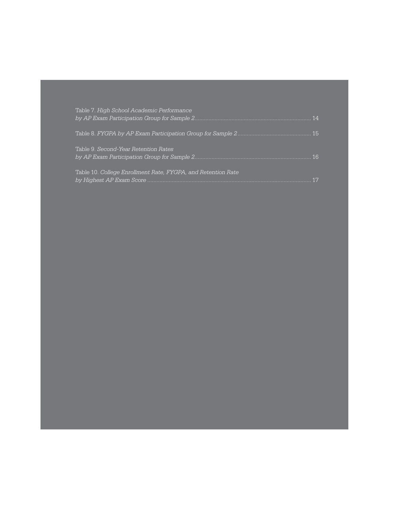| Table 7. High School Academic Performance                    |  |
|--------------------------------------------------------------|--|
|                                                              |  |
| Table 9. Second-Year Retention Rates                         |  |
| Table 10. College Enrollment Rate, FYGPA, and Retention Rate |  |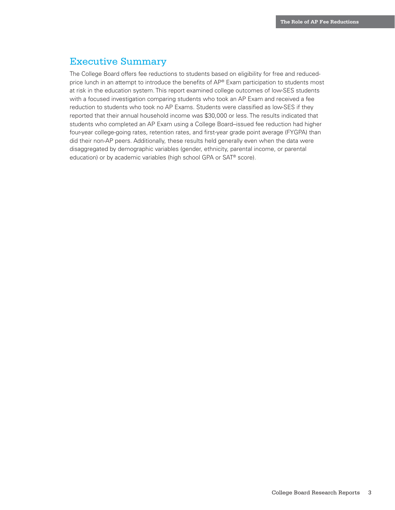# Executive Summary

The College Board offers fee reductions to students based on eligibility for free and reducedprice lunch in an attempt to introduce the benefits of AP® Exam participation to students most at risk in the education system. This report examined college outcomes of low-SES students with a focused investigation comparing students who took an AP Exam and received a fee reduction to students who took no AP Exams. Students were classified as low-SES if they reported that their annual household income was \$30,000 or less. The results indicated that students who completed an AP Exam using a College Board–issued fee reduction had higher four-year college-going rates, retention rates, and first-year grade point average (FYGPA) than did their non-AP peers. Additionally, these results held generally even when the data were disaggregated by demographic variables (gender, ethnicity, parental income, or parental education) or by academic variables (high school GPA or SAT® score).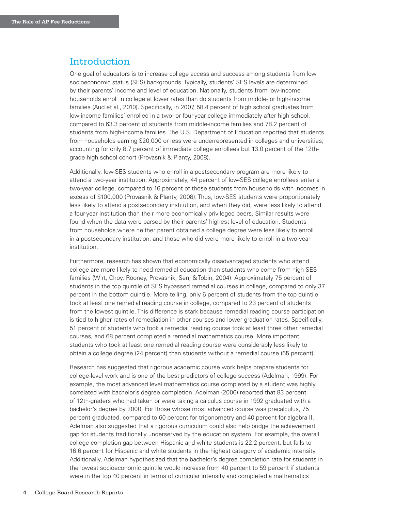### Introduction

One goal of educators is to increase college access and success among students from low socioeconomic status (SES) backgrounds. Typically, students' SES levels are determined by their parents' income and level of education. Nationally, students from low-income households enroll in college at lower rates than do students from middle- or high-income families (Aud et al., 2010). Specifically, in 2007, 58.4 percent of high school graduates from low-income families' enrolled in a two- or four-year college immediately after high school, compared to 63.3 percent of students from middle-income families and 78.2 percent of students from high-income families. The U.S. Department of Education reported that students from households earning \$20,000 or less were underrepresented in colleges and universities, accounting for only 8.7 percent of immediate college enrollees but 13.0 percent of the 12thgrade high school cohort (Provasnik & Planty, 2008).

Additionally, low-SES students who enroll in a postsecondary program are more likely to attend a two-year institution. Approximately, 44 percent of low-SES college enrollees enter a two-year college, compared to 16 percent of those students from households with incomes in excess of \$100,000 (Provasnik & Planty, 2008). Thus, low-SES students were proportionately less likely to attend a postsecondary institution, and when they did, were less likely to attend a four-year institution than their more economically privileged peers. Similar results were found when the data were parsed by their parents' highest level of education. Students from households where neither parent obtained a college degree were less likely to enroll in a postsecondary institution, and those who did were more likely to enroll in a two-year institution.

Furthermore, research has shown that economically disadvantaged students who attend college are more likely to need remedial education than students who come from high-SES families (Wirt, Choy, Rooney, Provasnik, Sen, & Tobin, 2004). Approximately 75 percent of students in the top quintile of SES bypassed remedial courses in college, compared to only 37 percent in the bottom quintile. More telling, only 6 percent of students from the top quintile took at least one remedial reading course in college, compared to 23 percent of students from the lowest quintile. This difference is stark because remedial reading course participation is tied to higher rates of remediation in other courses and lower graduation rates. Specifically, 51 percent of students who took a remedial reading course took at least three other remedial courses, and 68 percent completed a remedial mathematics course. More important, students who took at least one remedial reading course were considerably less likely to obtain a college degree (24 percent) than students without a remedial course (65 percent).

Research has suggested that rigorous academic course work helps prepare students for college-level work and is one of the best predictors of college success (Adelman, 1999). For example, the most advanced level mathematics course completed by a student was highly correlated with bachelor's degree completion. Adelman (2006) reported that 83 percent of 12th-graders who had taken or were taking a calculus course in 1992 graduated with a bachelor's degree by 2000. For those whose most advanced course was precalculus, 75 percent graduated, compared to 60 percent for trigonometry and 40 percent for algebra II. Adelman also suggested that a rigorous curriculum could also help bridge the achievement gap for students traditionally underserved by the education system. For example, the overall college completion gap between Hispanic and white students is 22.2 percent, but falls to 16.6 percent for Hispanic and white students in the highest category of academic intensity. Additionally, Adelman hypothesized that the bachelor's degree completion rate for students in the lowest socioeconomic quintile would increase from 40 percent to 59 percent if students were in the top 40 percent in terms of curricular intensity and completed a mathematics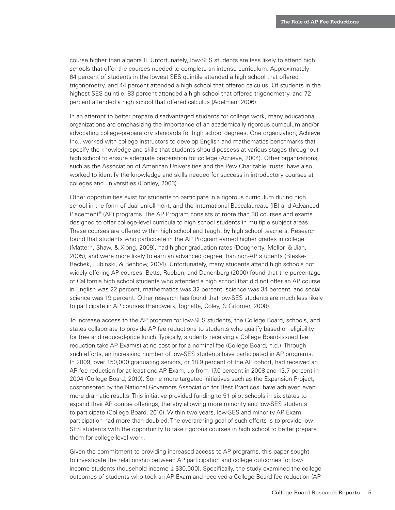course higher than algebra II. Unfortunately, low-SES students are less likely to attend high schools that offer the courses needed to complete an intense curriculum. Approximately 64 percent of students in the lowest SES quintile attended a high school that offered trigonometry, and 44 percent attended a high school that offered calculus. Of students in the highest SES quintile, 83 percent attended a high school that offered trigonometry, and 72 percent attended a high school that offered calculus (Adelman, 2006).

In an attempt to better prepare disadvantaged students for college work, many educational organizations are emphasizing the importance of an academically rigorous curriculum and/or advocating college-preparatory standards for high school degrees. One organization, Achieve Inc., worked with college instructors to develop English and mathematics benchmarks that specify the knowledge and skills that students should possess at various stages throughout high school to ensure adequate preparation for college (Achieve, 2004). Other organizations, such as the Association of American Universities and the Pew Charitable Trusts, have also worked to identify the knowledge and skills needed for success in introductory courses at colleges and universities (Conley, 2003).

Other opportunities exist for students to participate in a rigorous curriculum during high school in the form of dual enrollment, and the International Baccalaureate (IB) and Advanced Placement® (AP) programs. The AP Program consists of more than 30 courses and exams designed to offer college-level curricula to high school students in multiple subject areas. These courses are offered within high school and taught by high school teachers. Research found that students who participate in the AP Program earned higher grades in college (Mattern, Shaw, & Xiong, 2009), had higher graduation rates (Dougherty, Mellor, & Jian, 2005), and were more likely to earn an advanced degree than non-AP students (Bleske-Rechek, Lubinski, & Benbow, 2004). Unfortunately, many students attend high schools not widely offering AP courses. Betts, Rueben, and Danenberg (2000) found that the percentage of California high school students who attended a high school that did not offer an AP course in English was 22 percent, mathematics was 32 percent, science was 34 percent, and social science was 19 percent. Other research has found that low-SES students are much less likely to participate in AP courses (Handwerk, Tognatta, Coley, & Gitomer, 2008).

To increase access to the AP program for low-SES students, the College Board, schools, and states collaborate to provide AP fee reductions to students who qualify based on eligibility for free and reduced-price lunch. Typically, students receiving a College Board-issued fee reduction take AP Exam(s) at no cost or for a nominal fee (College Board, n.d.). Through such efforts, an increasing number of low-SES students have participated in AP programs. In 2009, over 150,000 graduating seniors, or 18.9 percent of the AP cohort, had received an AP fee reduction for at least one AP Exam, up from 17.0 percent in 2008 and 13.7 percent in 2004 (College Board, 2010). Some more targeted initiatives such as the Expansion Project, cosponsored by the National Governors Association for Best Practices, have achieved even more dramatic results. This initiative provided funding to 51 pilot schools in six states to expand their AP course offerings, thereby allowing more minority and low-SES students to participate (College Board, 2010). Within two years, low-SES and minority AP Exam participation had more than doubled. The overarching goal of such efforts is to provide low-SES students with the opportunity to take rigorous courses in high school to better prepare them for college-level work.

Given the commitment to providing increased access to AP programs, this paper sought to investigate the relationship between AP participation and college outcomes for lowincome students (household income ≤ \$30,000). Specifically, the study examined the college outcomes of students who took an AP Exam and received a College Board fee reduction (AP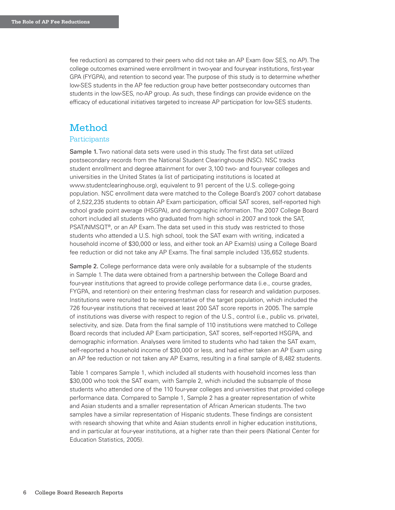fee reduction) as compared to their peers who did not take an AP Exam (low SES, no AP). The college outcomes examined were enrollment in two-year and four-year institutions, first-year GPA (FYGPA), and retention to second year. The purpose of this study is to determine whether low-SES students in the AP fee reduction group have better postsecondary outcomes than students in the low-SES, no-AP group. As such, these findings can provide evidence on the efficacy of educational initiatives targeted to increase AP participation for low-SES students.

#### Method

#### **Participants**

Sample 1. Two national data sets were used in this study. The first data set utilized postsecondary records from the National Student Clearinghouse (NSC). NSC tracks student enrollment and degree attainment for over 3,100 two- and four-year colleges and universities in the United States (a list of participating institutions is located at www.studentclearinghouse.org), equivalent to 91 percent of the U.S. college-going population. NSC enrollment data were matched to the College Board's 2007 cohort database of 2,522,235 students to obtain AP Exam participation, official SAT scores, self-reported high school grade point average (HSGPA), and demographic information. The 2007 College Board cohort included all students who graduated from high school in 2007 and took the SAT, PSAT/NMSQT®, or an AP Exam. The data set used in this study was restricted to those students who attended a U.S. high school, took the SAT exam with writing, indicated a household income of \$30,000 or less, and either took an AP Exam(s) using a College Board fee reduction or did not take any AP Exams. The final sample included 135,652 students.

Sample 2. College performance data were only available for a subsample of the students in Sample 1. The data were obtained from a partnership between the College Board and four-year institutions that agreed to provide college performance data (i.e., course grades, FYGPA, and retention) on their entering freshman class for research and validation purposes. Institutions were recruited to be representative of the target population, which included the 726 four-year institutions that received at least 200 SAT score reports in 2005. The sample of institutions was diverse with respect to region of the U.S., control (i.e., public vs. private), selectivity, and size. Data from the final sample of 110 institutions were matched to College Board records that included AP Exam participation, SAT scores, self-reported HSGPA, and demographic information. Analyses were limited to students who had taken the SAT exam, self-reported a household income of \$30,000 or less, and had either taken an AP Exam using an AP fee reduction or not taken any AP Exams, resulting in a final sample of 8,482 students.

Table 1 compares Sample 1, which included all students with household incomes less than \$30,000 who took the SAT exam, with Sample 2, which included the subsample of those students who attended one of the 110 four-year colleges and universities that provided college performance data. Compared to Sample 1, Sample 2 has a greater representation of white and Asian students and a smaller representation of African American students. The two samples have a similar representation of Hispanic students. These findings are consistent with research showing that white and Asian students enroll in higher education institutions, and in particular at four-year institutions, at a higher rate than their peers (National Center for Education Statistics, 2005).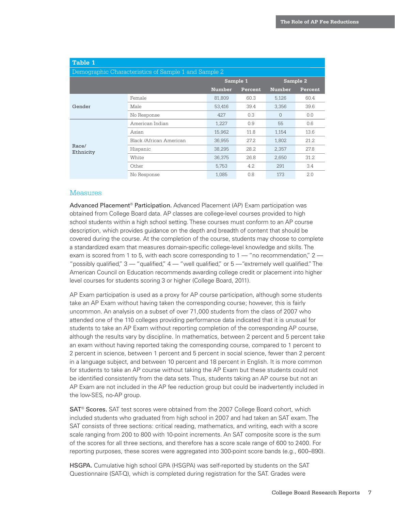| Table 1            |                                                      |               |          |               |          |
|--------------------|------------------------------------------------------|---------------|----------|---------------|----------|
|                    | Demographic Characteristics of Sample 1 and Sample 2 |               |          |               |          |
|                    |                                                      |               | Sample 1 |               | Sample 2 |
|                    |                                                      | <b>Number</b> | Percent  | <b>Number</b> | Percent  |
|                    | Female                                               | 81,809        | 60.3     | 5,126         | 60.4     |
| Gender             | Male                                                 | 53,416        | 39.4     | 3,356         | 39.6     |
|                    | No Response                                          | 427           | 0.3      | $\mathbf{0}$  | 0.0      |
|                    | American Indian                                      | 1,227         | 0.9      | 55            | 0.6      |
|                    | Asian                                                | 15,962        | 11.8     | 1.154         | 13.6     |
|                    | Black /African American                              | 36,955        | 27.2     | 1,802         | 21.2     |
| Race/<br>Ethnicity | Hispanic                                             | 38,295        | 28.2     | 2,357         | 27.8     |
|                    | White                                                | 36,375        | 26.8     | 2,650         | 31.2     |
|                    | Other                                                | 5,753         | 4.2      | 291           | 3.4      |
|                    | No Response                                          | 1,085         | 0.8      | 173           | 2.0      |

#### **Measures**

Advanced Placement® Participation. Advanced Placement (AP) Exam participation was obtained from College Board data. AP classes are college-level courses provided to high school students within a high school setting. These courses must conform to an AP course description, which provides guidance on the depth and breadth of content that should be covered during the course. At the completion of the course, students may choose to complete a standardized exam that measures domain-specific college-level knowledge and skills. The exam is scored from 1 to 5, with each score corresponding to  $1 -$  "no recommendation,"  $2 -$ "possibly qualified,"  $3 -$  "qualified,"  $4 -$  "well qualified," or  $5 -$  "extremely well qualified." The American Council on Education recommends awarding college credit or placement into higher level courses for students scoring 3 or higher (College Board, 2011).

AP Exam participation is used as a proxy for AP course participation, although some students take an AP Exam without having taken the corresponding course; however, this is fairly uncommon. An analysis on a subset of over 71,000 students from the class of 2007 who attended one of the 110 colleges providing performance data indicated that it is unusual for students to take an AP Exam without reporting completion of the corresponding AP course, although the results vary by discipline. In mathematics, between 2 percent and 5 percent take an exam without having reported taking the corresponding course, compared to 1 percent to 2 percent in science, between 1 percent and 5 percent in social science, fewer than 2 percent in a language subject, and between 10 percent and 18 percent in English. It is more common for students to take an AP course without taking the AP Exam but these students could not be identified consistently from the data sets. Thus, students taking an AP course but not an AP Exam are not included in the AP fee reduction group but could be inadvertently included in the low-SES, no-AP group.

SAT® Scores. SAT test scores were obtained from the 2007 College Board cohort, which included students who graduated from high school in 2007 and had taken an SAT exam. The SAT consists of three sections: critical reading, mathematics, and writing, each with a score scale ranging from 200 to 800 with 10-point increments. An SAT composite score is the sum of the scores for all three sections, and therefore has a score scale range of 600 to 2400. For reporting purposes, these scores were aggregated into 300-point score bands (e.g., 600–890).

HSGPA. Cumulative high school GPA (HSGPA) was self-reported by students on the SAT Questionnaire (SAT-Q), which is completed during registration for the SAT. Grades were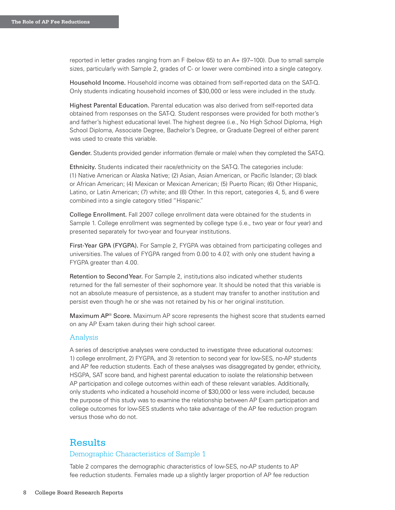reported in letter grades ranging from an F (below 65) to an A+ (97–100). Due to small sample sizes, particularly with Sample 2, grades of C- or lower were combined into a single category.

Household Income. Household income was obtained from self-reported data on the SAT-Q. Only students indicating household incomes of \$30,000 or less were included in the study.

Highest Parental Education. Parental education was also derived from self-reported data obtained from responses on the SAT-Q. Student responses were provided for both mother's and father's highest educational level. The highest degree (i.e., No High School Diploma, High School Diploma, Associate Degree, Bachelor's Degree, or Graduate Degree) of either parent was used to create this variable.

Gender. Students provided gender information (female or male) when they completed the SAT-Q.

Ethnicity. Students indicated their race/ethnicity on the SAT-Q. The categories include: (1) Native American or Alaska Native; (2) Asian, Asian American, or Pacific Islander; (3) black or African American; (4) Mexican or Mexican American; (5) Puerto Rican; (6) Other Hispanic, Latino, or Latin American; (7) white; and (8) Other. In this report, categories 4, 5, and 6 were combined into a single category titled "Hispanic."

College Enrollment. Fall 2007 college enrollment data were obtained for the students in Sample 1. College enrollment was segmented by college type (i.e., two year or four year) and presented separately for two-year and four-year institutions.

First-Year GPA (FYGPA). For Sample 2, FYGPA was obtained from participating colleges and universities. The values of FYGPA ranged from 0.00 to 4.07, with only one student having a FYGPA greater than 4.00.

Retention to Second Year. For Sample 2, institutions also indicated whether students returned for the fall semester of their sophomore year. It should be noted that this variable is not an absolute measure of persistence, as a student may transfer to another institution and persist even though he or she was not retained by his or her original institution.

Maximum AP® Score. Maximum AP score represents the highest score that students earned on any AP Exam taken during their high school career.

#### Analysis

A series of descriptive analyses were conducted to investigate three educational outcomes: 1) college enrollment, 2) FYGPA, and 3) retention to second year for low-SES, no-AP students and AP fee reduction students. Each of these analyses was disaggregated by gender, ethnicity, HSGPA, SAT score band, and highest parental education to isolate the relationship between AP participation and college outcomes within each of these relevant variables. Additionally, only students who indicated a household income of \$30,000 or less were included, because the purpose of this study was to examine the relationship between AP Exam participation and college outcomes for low-SES students who take advantage of the AP fee reduction program versus those who do not.

#### **Results**

#### Demographic Characteristics of Sample 1

Table 2 compares the demographic characteristics of low-SES, no-AP students to AP fee reduction students. Females made up a slightly larger proportion of AP fee reduction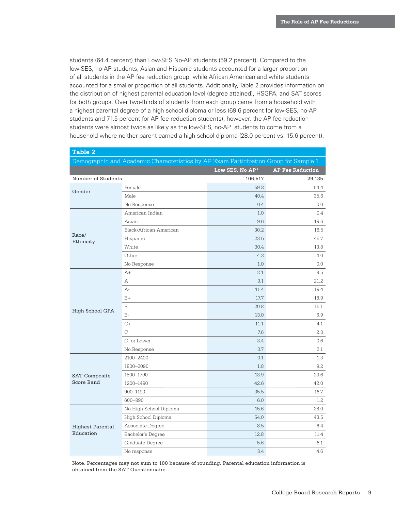students (64.4 percent) than Low-SES No-AP students (59.2 percent). Compared to the low-SES, no-AP students, Asian and Hispanic students accounted for a larger proportion of all students in the AP fee reduction group, while African American and white students accounted for a smaller proportion of all students. Additionally, Table 2 provides information on the distribution of highest parental education level (degree attained), HSGPA, and SAT scores for both groups. Over two-thirds of students from each group came from a household with a highest parental degree of a high school diploma or less (69.6 percent for low-SES, no-AP students and 71.5 percent for AP fee reduction students); however, the AP fee reduction students were almost twice as likely as the low-SES, no-AP students to come from a household where neither parent earned a high school diploma (28.0 percent vs. 15.6 percent).

| <b>Table 2</b>          |                                                                                      |                 |                         |
|-------------------------|--------------------------------------------------------------------------------------|-----------------|-------------------------|
|                         | Demographic and Academic Characteristics by AP Exam Participation Group for Sample 1 |                 |                         |
|                         |                                                                                      | Low SES, No AP* | <b>AP Fee Reduction</b> |
| Number of Students      |                                                                                      | 106,517         | 29,135                  |
|                         | Female                                                                               | 59.2            | 64.4                    |
| Gender                  | Male                                                                                 | 40.4            | 35.6                    |
|                         | No Response                                                                          | 0.4             | 0.0                     |
|                         | American Indian                                                                      | 1.0             | 0.4                     |
|                         | Asian                                                                                | 9.6             | 19.6                    |
|                         | Black/African American                                                               | 30.2            | 16.5                    |
| Race/<br>Ethnicity      | Hispanic                                                                             | 23.5            | 45.7                    |
|                         | White                                                                                | 30.4            | 13.8                    |
|                         | Other                                                                                | 4.3             | 4.0                     |
|                         | No Response                                                                          | 1.0             | 0.0                     |
|                         | A+                                                                                   | 2.1             | 8.5                     |
|                         | Α                                                                                    | 9.1             | 21.2                    |
|                         | A-                                                                                   | 11.4            | 19.4                    |
|                         | $B+$                                                                                 | 17.7            | 18.9                    |
|                         | B                                                                                    | 20.8            | 16.1                    |
| High School GPA         | $B-$                                                                                 | 13.0            | 6.9                     |
|                         | $C+$                                                                                 | 11.1            | 4.1                     |
|                         | $\mathcal{C}$                                                                        | 7.6             | 2.3                     |
|                         | C- or Lower                                                                          | 3.4             | 0.6                     |
|                         | No Response                                                                          | 3.7             | $2.1\,$                 |
|                         | 2100-2400                                                                            | 0.1             | 1.3                     |
|                         | 1800-2090                                                                            | 1.8             | 9.2                     |
| <b>SAT Composite</b>    | 1500-1790                                                                            | 13.9            | 29.6                    |
| Score Band              | 1200-1490                                                                            | 42.6            | 42.0                    |
|                         | 900-1190                                                                             | 35.5            | 16.7                    |
|                         | 600-890                                                                              | 6.0             | 1.2                     |
|                         | No High School Diploma                                                               | 15.6            | 28.0                    |
|                         | High School Diploma                                                                  | 54.0            | 43.5                    |
| <b>Highest Parental</b> | Associate Degree                                                                     | 8.5             | 6.4                     |
| Education               | Bachelor's Degree                                                                    | 12.8            | 11.4                    |
|                         | Graduate Degree                                                                      | 5.6             | 6.1                     |
|                         | No response                                                                          | 3.4             | 4.6                     |

Note. Percentages may not sum to 100 because of rounding. Parental education information is obtained from the SAT Questionnaire.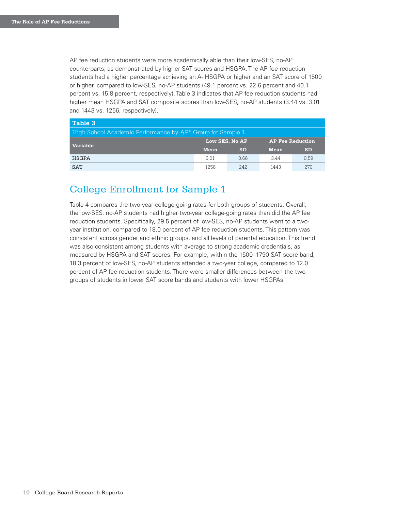AP fee reduction students were more academically able than their low-SES, no-AP counterparts, as demonstrated by higher SAT scores and HSGPA. The AP fee reduction students had a higher percentage achieving an A- HSGPA or higher and an SAT score of 1500 or higher, compared to low-SES, no-AP students (49.1 percent vs. 22.6 percent and 40.1 percent vs. 15.8 percent, respectively). Table 3 indicates that AP fee reduction students had higher mean HSGPA and SAT composite scores than low-SES, no-AP students (3.44 vs. 3.01 and 1443 vs. 1256, respectively).

| Table 3                                                    |                |           |                         |           |  |  |
|------------------------------------------------------------|----------------|-----------|-------------------------|-----------|--|--|
| High School Academic Performance by AP® Group for Sample 1 |                |           |                         |           |  |  |
| <b>Variable</b>                                            | Low SES, No AP |           | <b>AP Fee Reduction</b> |           |  |  |
|                                                            | <b>Mean</b>    | <b>SD</b> | <b>Mean</b>             | <b>SD</b> |  |  |
| <b>HSGPA</b>                                               | 3.01           | 0.66      | 3.44                    | 0.59      |  |  |
| <b>SAT</b>                                                 | 1256           | 2.42.     | 1443                    | 2.70      |  |  |

# College Enrollment for Sample 1

Table 4 compares the two-year college-going rates for both groups of students. Overall, the low-SES, no-AP students had higher two-year college-going rates than did the AP fee reduction students. Specifically, 29.5 percent of low-SES, no-AP students went to a twoyear institution, compared to 18.0 percent of AP fee reduction students. This pattern was consistent across gender and ethnic groups, and all levels of parental education. This trend was also consistent among students with average to strong academic credentials, as measured by HSGPA and SAT scores. For example, within the 1500–1790 SAT score band, 18.3 percent of low-SES, no-AP students attended a two-year college, compared to 12.0 percent of AP fee reduction students. There were smaller differences between the two groups of students in lower SAT score bands and students with lower HSGPAs.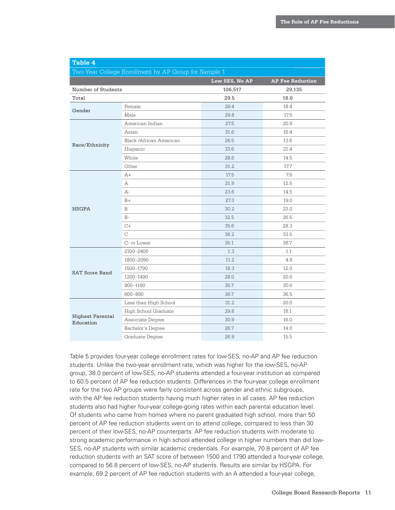| Table 4                                              |                         |                |                         |  |  |  |
|------------------------------------------------------|-------------------------|----------------|-------------------------|--|--|--|
| Two-Year College Enrollment by AP Group for Sample 1 |                         |                |                         |  |  |  |
|                                                      |                         | Low SES, No AP | <b>AP Fee Reduction</b> |  |  |  |
| Number of Students                                   |                         | 106,517        | 29,135                  |  |  |  |
| Total                                                |                         | 29.5           | 18.0                    |  |  |  |
| Gender                                               | Female                  | 29.4           | 18.4                    |  |  |  |
|                                                      | Male                    | 29.8           | 17.5                    |  |  |  |
|                                                      | American Indian         | 27.5           | 20.9                    |  |  |  |
|                                                      | Asian                   | 31.6           | 16.4                    |  |  |  |
|                                                      | Black /African American | 26.5           | 13.6                    |  |  |  |
| Race/Ethnicity                                       | Hispanic                | 33.6           | 21.4                    |  |  |  |
|                                                      | White                   | 28.6           | 14.5                    |  |  |  |
|                                                      | Other                   | 31.2           | 17.7                    |  |  |  |
|                                                      | $A+$                    | 17.5           | 7.6                     |  |  |  |
|                                                      | А                       | 21.9           | 12.5                    |  |  |  |
|                                                      | A-                      | 23.6           | 14.5                    |  |  |  |
|                                                      | $B+$                    | 27.3           | 19.0                    |  |  |  |
| <b>HSGPA</b>                                         | B                       | 30.2           | 23.0                    |  |  |  |
|                                                      | $B-$                    | 32.5           | 26.5                    |  |  |  |
|                                                      | $C+$                    | 35.6           | 28.3                    |  |  |  |
|                                                      | $\mathcal{C}$           | 36.2           | 33.5                    |  |  |  |
|                                                      | C- or Lower             | 35.1           | 38.7                    |  |  |  |
|                                                      | 2100-2400               | 1.3            | 1.1                     |  |  |  |
|                                                      | 1800-2090               | 11.2           | 4.8                     |  |  |  |
| <b>SAT Score Band</b>                                | 1500-1790               | 18.3           | 12.0                    |  |  |  |
|                                                      | 1200-1490               | 28.0           | 20.5                    |  |  |  |
|                                                      | 900-1190                | 35.7           | 30.0                    |  |  |  |
|                                                      | 600-890                 | 36.7           | 36.5                    |  |  |  |
|                                                      | Less than High School   | 31.2           | 20.0                    |  |  |  |
|                                                      | High School Graduate    | 29.8           | 18.1                    |  |  |  |
| <b>Highest Parental</b><br>Education                 | Associate Degree        | 30.9           | 16.0                    |  |  |  |
|                                                      | Bachelor's Degree       | 26.7           | 14.0                    |  |  |  |
|                                                      | Graduate Degree         | 26.9           | 15.5                    |  |  |  |

Table 5 provides four-year college enrollment rates for low-SES, no-AP and AP fee reduction students. Unlike the two-year enrollment rate, which was higher for the low-SES, no-AP group, 38.0 percent of low-SES, no-AP students attended a four-year institution as compared to 60.5 percent of AP fee reduction students. Differences in the four-year college enrollment rate for the two AP groups were fairly consistent across gender and ethnic subgroups, with the AP fee reduction students having much higher rates in all cases. AP fee reduction students also had higher four-year college-going rates within each parental education level. Of students who came from homes where no parent graduated high school, more than 50 percent of AP fee reduction students went on to attend college, compared to less than 30 percent of their low-SES, no-AP counterparts. AP fee reduction students with moderate to strong academic performance in high school attended college in higher numbers than did low-SES, no-AP students with similar academic credentials. For example, 70.8 percent of AP fee reduction students with an SAT score of between 1500 and 1790 attended a four-year college, compared to 56.8 percent of low-SES, no-AP students. Results are similar by HSGPA. For example, 69.2 percent of AP fee reduction students with an A attended a four-year college,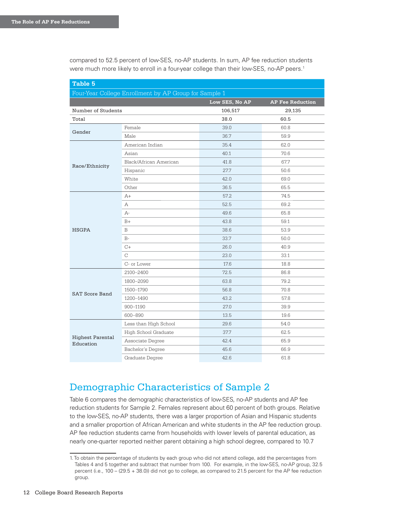compared to 52.5 percent of low-SES, no-AP students. In sum, AP fee reduction students were much more likely to enroll in a four-year college than their low-SES, no-AP peers.<sup>1</sup>

| Table 5                                               |                        |                |                         |  |  |
|-------------------------------------------------------|------------------------|----------------|-------------------------|--|--|
| Four-Year College Enrollment by AP Group for Sample 1 |                        |                |                         |  |  |
|                                                       |                        | Low SES, No AP | <b>AP Fee Reduction</b> |  |  |
| Number of Students                                    |                        | 106,517        | 29,135                  |  |  |
| Total                                                 |                        | 38.0           | 60.5                    |  |  |
|                                                       | Female                 | 39.0           | 60.8                    |  |  |
| Gender                                                | Male                   | 36.7           | 59.9                    |  |  |
|                                                       | American Indian        | 35.4           | 62.0                    |  |  |
|                                                       | Asian                  | 40.1           | 70.6                    |  |  |
| Race/Ethnicity                                        | Black/African American | 41.8           | 67.7                    |  |  |
|                                                       | Hispanic               | 27.7           | 50.6                    |  |  |
|                                                       | White                  | 42.0           | 69.0                    |  |  |
|                                                       | Other                  | 36.5           | 65.5                    |  |  |
|                                                       | $A+$                   | 57.2           | 74.5                    |  |  |
|                                                       | Α                      | 52.5           | 69.2                    |  |  |
|                                                       | A-                     | 49.6           | 65.8                    |  |  |
|                                                       | $B+$                   | 43.8           | 59.1                    |  |  |
| <b>HSGPA</b>                                          | B                      | 38.6           | 53.9                    |  |  |
|                                                       | $B-$                   | 33.7           | 50.0                    |  |  |
|                                                       | $C+$                   | 26.0           | 40.9                    |  |  |
|                                                       | C                      | 23.0           | 33.1                    |  |  |
|                                                       | C- or Lower            | 17.6           | 18.8                    |  |  |
|                                                       | 2100-2400              | 72.5           | 86.8                    |  |  |
|                                                       | 1800-2090              | 63.8           | 79.2                    |  |  |
| <b>SAT Score Band</b>                                 | 1500-1790              | 56.8           | 70.8                    |  |  |
|                                                       | 1200-1490              | 43.2           | 57.8                    |  |  |
|                                                       | 900-1190               | 27.0           | 39.9                    |  |  |
|                                                       | 600-890                | 13.5           | 19.6                    |  |  |
|                                                       | Less than High School  | 29.6           | 54.0                    |  |  |
|                                                       | High School Graduate   | 37.7           | 62.5                    |  |  |
| <b>Highest Parental</b><br>Education                  | Associate Degree       | 42.4           | 65.9                    |  |  |
|                                                       | Bachelor's Degree      | 45.6           | 66.9                    |  |  |
|                                                       | Graduate Degree        | 42.6           | 61.8                    |  |  |

# Demographic Characteristics of Sample 2

Table 6 compares the demographic characteristics of low-SES, no-AP students and AP fee reduction students for Sample 2. Females represent about 60 percent of both groups. Relative to the low-SES, no-AP students, there was a larger proportion of Asian and Hispanic students and a smaller proportion of African American and white students in the AP fee reduction group. AP fee reduction students came from households with lower levels of parental education, as nearly one-quarter reported neither parent obtaining a high school degree, compared to 10.7

<sup>1.</sup> To obtain the percentage of students by each group who did not attend college, add the percentages from Tables 4 and 5 together and subtract that number from 100. For example, in the low-SES, no-AP group, 32.5 percent (i.e., 100 – (29.5 + 38.0)) did not go to college, as compared to 21.5 percent for the AP fee reduction group.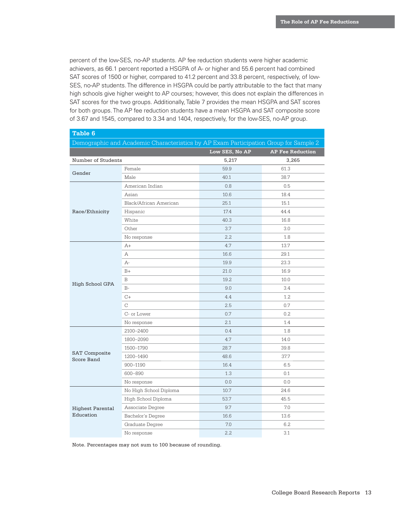percent of the low-SES, no-AP students. AP fee reduction students were higher academic achievers, as 66.1 percent reported a HSGPA of A- or higher and 55.6 percent had combined SAT scores of 1500 or higher, compared to 41.2 percent and 33.8 percent, respectively, of low-SES, no-AP students. The difference in HSGPA could be partly attributable to the fact that many high schools give higher weight to AP courses; however, this does not explain the differences in SAT scores for the two groups. Additionally, Table 7 provides the mean HSGPA and SAT scores for both groups. The AP fee reduction students have a mean HSGPA and SAT composite score of 3.67 and 1545, compared to 3.34 and 1404, respectively, for the low-SES, no-AP group.

| Table 6                                                                              |                        |                |                         |  |  |
|--------------------------------------------------------------------------------------|------------------------|----------------|-------------------------|--|--|
| Demographic and Academic Characteristics by AP Exam Participation Group for Sample 2 |                        |                |                         |  |  |
|                                                                                      |                        | Low SES, No AP | <b>AP Fee Reduction</b> |  |  |
| Number of Students                                                                   |                        | 5,217          | 3,265                   |  |  |
| Gender                                                                               | Female                 | 59.9           | 61.3                    |  |  |
|                                                                                      | Male                   | 40.1           | 38.7                    |  |  |
|                                                                                      | American Indian        | 0.8            | 0.5                     |  |  |
|                                                                                      | Asian                  | 10.6           | 18.4                    |  |  |
|                                                                                      | Black/African American | 25.1           | 15.1                    |  |  |
| Race/Ethnicity                                                                       | Hispanic               | 17.4           | 44.4                    |  |  |
|                                                                                      | White                  | 40.3           | 16.8                    |  |  |
|                                                                                      | Other                  | 3.7            | 3.0                     |  |  |
|                                                                                      | No response            | 2.2            | 1.8                     |  |  |
|                                                                                      | $A+$                   | 4.7            | 13.7                    |  |  |
|                                                                                      | Α                      | 16.6           | 29.1                    |  |  |
|                                                                                      | A-                     | 19.9           | 23.3                    |  |  |
|                                                                                      | $B+$                   | 21.0           | 16.9                    |  |  |
|                                                                                      | B                      | 19.2           | 10.0                    |  |  |
| High School GPA                                                                      | $B-$                   | 9.0            | 3.4                     |  |  |
|                                                                                      | $C+$                   | 4.4            | 1.2                     |  |  |
|                                                                                      | C                      | 2.5            | 0.7                     |  |  |
|                                                                                      | C- or Lower            | 0.7            | 0.2                     |  |  |
|                                                                                      | No response            | 2.1            | 1.4                     |  |  |
|                                                                                      | 2100-2400              | 0.4            | 1.8                     |  |  |
|                                                                                      | 1800-2090              | 4.7            | 14.0                    |  |  |
|                                                                                      | 1500-1790              | 28.7           | 39.8                    |  |  |
| <b>SAT Composite</b><br><b>Score Band</b>                                            | 1200-1490              | 48.6           | 37.7                    |  |  |
|                                                                                      | 900-1190               | 16.4           | 6.5                     |  |  |
|                                                                                      | 600-890                | 1.3            | 0.1                     |  |  |
|                                                                                      | No response            | 0.0            | 0.0                     |  |  |
|                                                                                      | No High School Diploma | 10.7           | 24.6                    |  |  |
|                                                                                      | High School Diploma    | 53.7           | 45.5                    |  |  |
| <b>Highest Parental</b>                                                              | Associate Degree       | 9.7            | 7.0                     |  |  |
| Education                                                                            | Bachelor's Degree      | 16.6           | 13.6                    |  |  |
|                                                                                      | Graduate Degree        | 7.0            | 6.2                     |  |  |
|                                                                                      | No response            | 2.2            | 3.1                     |  |  |

Note. Percentages may not sum to 100 because of rounding.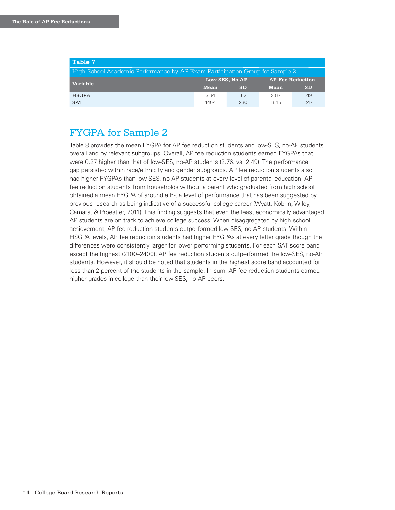| Table 7                                                                      |                |           |                         |           |  |  |
|------------------------------------------------------------------------------|----------------|-----------|-------------------------|-----------|--|--|
| High School Academic Performance by AP Exam Participation Group for Sample 2 |                |           |                         |           |  |  |
| <b>Variable</b>                                                              | Low SES. No AP |           | <b>AP Fee Reduction</b> |           |  |  |
|                                                                              | <b>Mean</b>    | <b>SD</b> | <b>Mean</b>             | <b>SD</b> |  |  |
| <b>HSGPA</b>                                                                 | 3.34           | .57       | 367                     | .49       |  |  |
| <b>SAT</b>                                                                   | 1404           | 230       | 1545                    | 2.47      |  |  |

# FYGPA for Sample 2

Table 8 provides the mean FYGPA for AP fee reduction students and low-SES, no-AP students overall and by relevant subgroups. Overall, AP fee reduction students earned FYGPAs that were 0.27 higher than that of low-SES, no-AP students (2.76. vs. 2.49). The performance gap persisted within race/ethnicity and gender subgroups. AP fee reduction students also had higher FYGPAs than low-SES, no-AP students at every level of parental education. AP fee reduction students from households without a parent who graduated from high school obtained a mean FYGPA of around a B-, a level of performance that has been suggested by previous research as being indicative of a successful college career (Wyatt, Kobrin, Wiley, Camara, & Proestler, 2011). This finding suggests that even the least economically advantaged AP students are on track to achieve college success. When disaggregated by high school achievement, AP fee reduction students outperformed low-SES, no-AP students. Within HSGPA levels, AP fee reduction students had higher FYGPAs at every letter grade though the differences were consistently larger for lower performing students. For each SAT score band except the highest (2100–2400), AP fee reduction students outperformed the low-SES, no-AP students. However, it should be noted that students in the highest score band accounted for less than 2 percent of the students in the sample. In sum, AP fee reduction students earned higher grades in college than their low-SES, no-AP peers.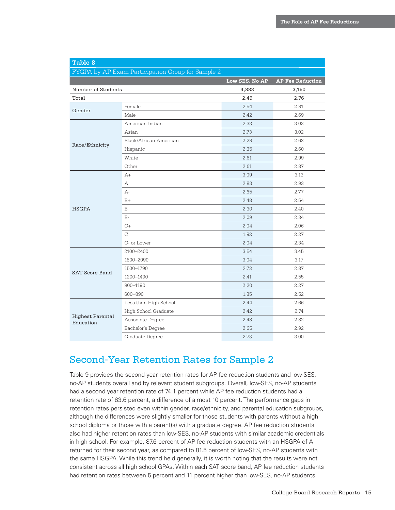| Table 8                              |                                                   |                |                         |
|--------------------------------------|---------------------------------------------------|----------------|-------------------------|
|                                      | FYGPA by AP Exam Participation Group for Sample 2 |                |                         |
|                                      |                                                   | Low SES, No AP | <b>AP Fee Reduction</b> |
| Number of Students                   |                                                   | 4,883          | 3,150                   |
| Total                                |                                                   | 2.49           | 2.76                    |
| Gender                               | Female                                            | 2.54           | 2.81                    |
|                                      | Male                                              | 2.42           | 2.69                    |
|                                      | American Indian                                   | 2.33           | 3.03                    |
|                                      | Asian                                             | 2.73           | 3.02                    |
|                                      | Black/African American                            | 2.28           | 2.62                    |
| Race/Ethnicity                       | Hispanic                                          | 2.35           | 2.60                    |
|                                      | White                                             | 2.61           | 2.99                    |
|                                      | Other                                             | 2.61           | 2.87                    |
|                                      | $A+$                                              | 3.09           | 3.13                    |
|                                      | А                                                 | 2.83           | 2.93                    |
|                                      | $A-$                                              | 2.65           | 2.77                    |
|                                      | $B+$                                              | 2.48           | 2.54                    |
| <b>HSGPA</b>                         | B                                                 | 2.30           | 2.40                    |
|                                      | $B-$                                              | 2.09           | 2.34                    |
|                                      | $C+$                                              | 2.04           | 2.06                    |
|                                      | $\mathcal{C}$                                     | 1.92           | 2.27                    |
|                                      | C- or Lower                                       | 2.04           | 2.34                    |
|                                      | 2100-2400                                         | 3.54           | 3.45                    |
|                                      | 1800-2090                                         | 3.04           | 3.17                    |
| <b>SAT Score Band</b>                | 1500-1790                                         | 2.73           | 2.87                    |
|                                      | 1200-1490                                         | 2.41           | 2.55                    |
|                                      | 900-1190                                          | 2.20           | 2.27                    |
|                                      | 600-890                                           | 1.85           | 2.52                    |
|                                      | Less than High School                             | 2.44           | 2.66                    |
|                                      | High School Graduate                              | 2.42           | 2.74                    |
| <b>Highest Parental</b><br>Education | Associate Degree                                  | 2.48           | 2.82                    |
|                                      | Bachelor's Degree                                 | 2.65           | 2.92                    |
|                                      | Graduate Degree                                   | 2.73           | 3.00                    |

# Second-Year Retention Rates for Sample 2

Table 9 provides the second-year retention rates for AP fee reduction students and low-SES, no-AP students overall and by relevant student subgroups. Overall, low-SES, no-AP students had a second year retention rate of 74.1 percent while AP fee reduction students had a retention rate of 83.6 percent, a difference of almost 10 percent. The performance gaps in retention rates persisted even within gender, race/ethnicity, and parental education subgroups, although the differences were slightly smaller for those students with parents without a high school diploma or those with a parent(s) with a graduate degree. AP fee reduction students also had higher retention rates than low-SES, no-AP students with similar academic credentials in high school. For example, 87.6 percent of AP fee reduction students with an HSGPA of A returned for their second year, as compared to 81.5 percent of low-SES, no-AP students with the same HSGPA. While this trend held generally, it is worth noting that the results were not consistent across all high school GPAs. Within each SAT score band, AP fee reduction students had retention rates between 5 percent and 11 percent higher than low-SES, no-AP students.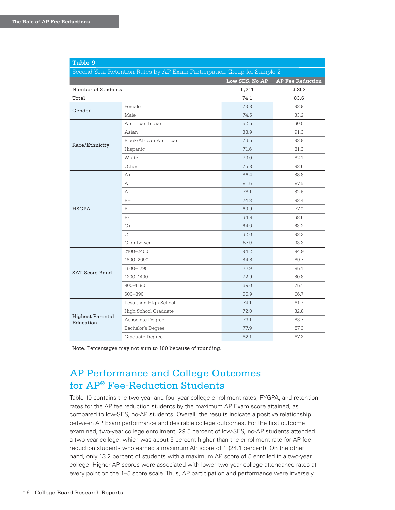| Table 9                                                                 |                        |                |                         |  |  |
|-------------------------------------------------------------------------|------------------------|----------------|-------------------------|--|--|
| Second-Year Retention Rates by AP Exam Participation Group for Sample 2 |                        |                |                         |  |  |
|                                                                         |                        | Low SES, No AP | <b>AP Fee Reduction</b> |  |  |
| Number of Students                                                      |                        | 5,211          | 3,262                   |  |  |
| Total                                                                   |                        | 74.1           | 83.6                    |  |  |
| Gender                                                                  | Female                 | 73.8           | 83.9                    |  |  |
|                                                                         | Male                   | 74.5           | 83.2                    |  |  |
|                                                                         | American Indian        | 52.5           | 60.0                    |  |  |
|                                                                         | Asian                  | 83.9           | 91.3                    |  |  |
| Race/Ethnicity                                                          | Black/African American | 73.5           | 83.8                    |  |  |
|                                                                         | Hispanic               | 71.6           | 81.3                    |  |  |
|                                                                         | White                  | 73.0           | 82.1                    |  |  |
|                                                                         | Other                  | 75.8           | 83.5                    |  |  |
|                                                                         | $A+$                   | 86.4           | 88.8                    |  |  |
|                                                                         | A                      | 81.5           | 87.6                    |  |  |
|                                                                         | A-                     | 78.1           | 82.6                    |  |  |
|                                                                         | $B+$                   | 74.3           | 83.4                    |  |  |
| <b>HSGPA</b>                                                            | B                      | 69.9           | 77.0                    |  |  |
|                                                                         | $B -$                  | 64.9           | 68.5                    |  |  |
|                                                                         | $C+$                   | 64.0           | 63.2                    |  |  |
|                                                                         | $\mathcal{C}$          | 62.0           | 83.3                    |  |  |
|                                                                         | C- or Lower            | 57.9           | 33.3                    |  |  |
|                                                                         | 2100-2400              | 84.2           | 94.9                    |  |  |
|                                                                         | 1800-2090              | 84.8           | 89.7                    |  |  |
| <b>SAT Score Band</b>                                                   | 1500-1790              | 77.9           | 85.1                    |  |  |
|                                                                         | 1200-1490              | 72.9           | 80.8                    |  |  |
|                                                                         | 900-1190               | 69.0           | 75.1                    |  |  |
|                                                                         | 600-890                | 55.9           | 66.7                    |  |  |
|                                                                         | Less than High School  | 74.1           | 81.7                    |  |  |
|                                                                         | High School Graduate   | 72.0           | 82.8                    |  |  |
| <b>Highest Parental</b><br>Education                                    | Associate Degree       | 73.1           | 83.7                    |  |  |
|                                                                         | Bachelor's Degree      | 77.9           | 87.2                    |  |  |
|                                                                         | Graduate Degree        | 82.1           | 87.2                    |  |  |

Note. Percentages may not sum to 100 because of rounding.

# AP Performance and College Outcomes for AP® Fee-Reduction Students

Table 10 contains the two-year and four-year college enrollment rates, FYGPA, and retention rates for the AP fee reduction students by the maximum AP Exam score attained, as compared to low-SES, no-AP students. Overall, the results indicate a positive relationship between AP Exam performance and desirable college outcomes. For the first outcome examined, two-year college enrollment, 29.5 percent of low-SES, no-AP students attended a two-year college, which was about 5 percent higher than the enrollment rate for AP fee reduction students who earned a maximum AP score of 1 (24.1 percent). On the other hand, only 13.2 percent of students with a maximum AP score of 5 enrolled in a two-year college. Higher AP scores were associated with lower two-year college attendance rates at every point on the 1–5 score scale. Thus, AP participation and performance were inversely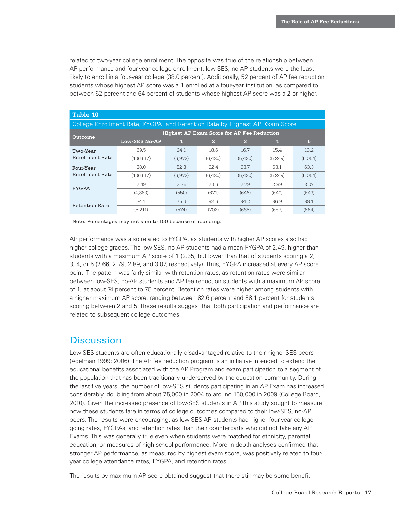related to two-year college enrollment. The opposite was true of the relationship between AP performance and four-year college enrollment; low-SES, no-AP students were the least likely to enroll in a four-year college (38.0 percent). Additionally, 52 percent of AP fee reduction students whose highest AP score was a 1 enrolled at a four-year institution, as compared to between 62 percent and 64 percent of students whose highest AP score was a 2 or higher.

| Table 10                                          |                                                                             |         |                |         |          |         |  |
|---------------------------------------------------|-----------------------------------------------------------------------------|---------|----------------|---------|----------|---------|--|
|                                                   | College Enrollment Rate, FYGPA, and Retention Rate by Highest AP Exam Score |         |                |         |          |         |  |
| <b>Highest AP Exam Score for AP Fee Reduction</b> |                                                                             |         |                |         |          |         |  |
| Outcome                                           | <b>Low-SES No-AP</b>                                                        | 1       | $\overline{2}$ | 3       | 4        | 5       |  |
| Two-Year                                          | 29.5                                                                        | 24.1    | 18.6           | 16.7    | 15.4     | 13.2    |  |
| Enrollment Rate                                   | (106.517)                                                                   | (6.972) | (6,420)        | (5,430) | (5.249)  | (5.064) |  |
| Four-Year                                         | 38.0                                                                        | 52.3    | 62.4           | 63.7    | 63.1     | 63.3    |  |
| Enrollment Rate                                   | (106, 517)                                                                  | (6,972) | (6,420)        | (5,430) | (5, 249) | (5.064) |  |
|                                                   | 2.49                                                                        | 2.35    | 2.66           | 2.79    | 2.89     | 3.07    |  |
| <b>FYGPA</b>                                      | (4,883)                                                                     | (550)   | (671)          | (646)   | (640)    | (643)   |  |
|                                                   | 74.1                                                                        | 75.3    | 82.6           | 84.2    | 86.9     | 88.1    |  |
| Retention Rate                                    | (5.211)                                                                     | (574)   | (702)          | (665)   | (657)    | (664)   |  |

Note. Percentages may not sum to 100 because of rounding.

AP performance was also related to FYGPA, as students with higher AP scores also had higher college grades. The low-SES, no-AP students had a mean FYGPA of 2.49, higher than students with a maximum AP score of 1 (2.35) but lower than that of students scoring a 2, 3, 4, or 5 (2.66, 2.79, 2.89, and 3.07, respectively). Thus, FYGPA increased at every AP score point. The pattern was fairly similar with retention rates, as retention rates were similar between low-SES, no-AP students and AP fee reduction students with a maximum AP score of 1, at about 74 percent to 75 percent. Retention rates were higher among students with a higher maximum AP score, ranging between 82.6 percent and 88.1 percent for students scoring between 2 and 5. These results suggest that both participation and performance are related to subsequent college outcomes.

#### **Discussion**

Low-SES students are often educationally disadvantaged relative to their higher-SES peers (Adelman 1999; 2006). The AP fee reduction program is an initiative intended to extend the educational benefits associated with the AP Program and exam participation to a segment of the population that has been traditionally underserved by the education community. During the last five years, the number of low-SES students participating in an AP Exam has increased considerably, doubling from about 75,000 in 2004 to around 150,000 in 2009 (College Board, 2010). Given the increased presence of low-SES students in AP, this study sought to measure how these students fare in terms of college outcomes compared to their low-SES, no-AP peers. The results were encouraging, as low-SES AP students had higher four-year collegegoing rates, FYGPAs, and retention rates than their counterparts who did not take any AP Exams. This was generally true even when students were matched for ethnicity, parental education, or measures of high school performance. More in-depth analyses confirmed that stronger AP performance, as measured by highest exam score, was positively related to fouryear college attendance rates, FYGPA, and retention rates.

The results by maximum AP score obtained suggest that there still may be some benefit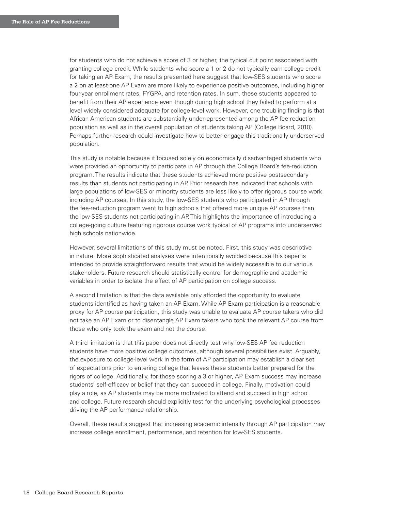for students who do not achieve a score of 3 or higher, the typical cut point associated with granting college credit. While students who score a 1 or 2 do not typically earn college credit for taking an AP Exam, the results presented here suggest that low-SES students who score a 2 on at least one AP Exam are more likely to experience positive outcomes, including higher four-year enrollment rates, FYGPA, and retention rates. In sum, these students appeared to benefit from their AP experience even though during high school they failed to perform at a level widely considered adequate for college-level work. However, one troubling finding is that African American students are substantially underrepresented among the AP fee reduction population as well as in the overall population of students taking AP (College Board, 2010). Perhaps further research could investigate how to better engage this traditionally underserved population.

This study is notable because it focused solely on economically disadvantaged students who were provided an opportunity to participate in AP through the College Board's fee-reduction program. The results indicate that these students achieved more positive postsecondary results than students not participating in AP. Prior research has indicated that schools with large populations of low-SES or minority students are less likely to offer rigorous course work including AP courses. In this study, the low-SES students who participated in AP through the fee-reduction program went to high schools that offered more unique AP courses than the low-SES students not participating in AP. This highlights the importance of introducing a college-going culture featuring rigorous course work typical of AP programs into underserved high schools nationwide.

However, several limitations of this study must be noted. First, this study was descriptive in nature. More sophisticated analyses were intentionally avoided because this paper is intended to provide straightforward results that would be widely accessible to our various stakeholders. Future research should statistically control for demographic and academic variables in order to isolate the effect of AP participation on college success.

A second limitation is that the data available only afforded the opportunity to evaluate students identified as having taken an AP Exam. While AP Exam participation is a reasonable proxy for AP course participation, this study was unable to evaluate AP course takers who did not take an AP Exam or to disentangle AP Exam takers who took the relevant AP course from those who only took the exam and not the course.

A third limitation is that this paper does not directly test why low-SES AP fee reduction students have more positive college outcomes, although several possibilities exist. Arguably, the exposure to college-level work in the form of AP participation may establish a clear set of expectations prior to entering college that leaves these students better prepared for the rigors of college. Additionally, for those scoring a 3 or higher, AP Exam success may increase students' self-efficacy or belief that they can succeed in college. Finally, motivation could play a role, as AP students may be more motivated to attend and succeed in high school and college. Future research should explicitly test for the underlying psychological processes driving the AP performance relationship.

Overall, these results suggest that increasing academic intensity through AP participation may increase college enrollment, performance, and retention for low-SES students.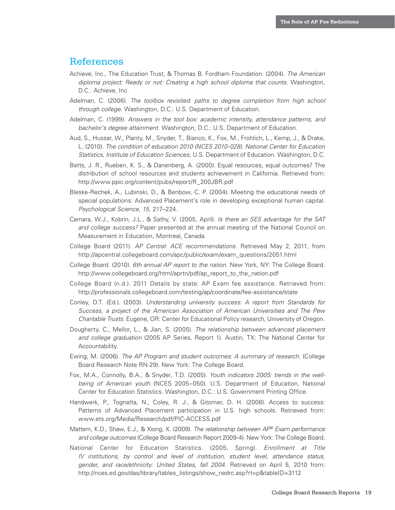#### References

- Achieve, Inc., The Education Trust, & Thomas B. Fordham Foundation. (2004). The American diploma project: Ready or not: Creating a high school diploma that counts. Washington, D.C.: Achieve, Inc.
- Adelman, C. (2006). The toolbox revisited: paths to degree completion from high school through college. Washington, D.C.: U.S. Department of Education.
- Adelman, C. (1999). Answers in the tool box: academic intensity, attendance patterns, and bachelor's degree attainment. Washington, D.C.: U.S. Department of Education.
- Aud, S., Hussar, W., Planty, M., Snyder, T., Bianco, K., Fox, M., Frohlich, L., Kemp, J., & Drake, L. (2010). The condition of education 2010 (NCES 2010-028). National Center for Education Statistics, Institute of Education Sciences, U.S. Department of Education. Washington, D.C.
- Betts, J. R., Rueben, K. S., & Danenberg, A. (2000). Equal resources, equal outcomes? The distribution of school resources and students achievement in California. Retrieved from: http://www.ppic.org/content/pubs/report/R\_200JBR.pdf
- Bleske-Rechek, A., Lubinski, D., & Benbow, C. P. (2004). Meeting the educational needs of special populations: Advanced Placement's role in developing exceptional human capital. Psychological Science, 15, 217–224.
- Camara, W.J., Kobrin, J.L., & Sathy, V. (2005, April). Is there an SES advantage for the SAT and college success? Paper presented at the annual meeting of the National Council on Measurement in Education, Montreal, Canada.
- College Board (2011). AP Central: ACE recommendations. Retrieved May 2, 2011, from http://apcentral.collegeboard.com/apc/public/exam/exam\_questions/2051.html
- College Board. (2010). 6th annual AP report to the nation. New York, NY: The College Board. http://www.collegeboard.org/html/aprtn/pdf/ap\_report\_to\_the\_nation.pdf
- College Board (n.d.). 2011 Details by state: AP Exam fee assistance. Retrieved from: http://professionals.collegeboard.com/testing/ap/coordinate/fee-assistance/state
- Conley, D.T. (Ed.). (2003). Understanding university success: A report from Standards for Success, a project of the American Association of American Universities and The Pew Charitable Trusts. Eugene, OR: Center for Educational Policy research, University of Oregon.
- Dougherty, C., Mellor, L., & Jian, S. (2005). The relationship between advanced placement and college graduation (2005 AP Series, Report 1). Austin, TX: The National Center for Accountability.
- Ewing, M. (2006). The AP Program and student outcomes: A summary of research. (College Board Research Note RN-29). New York: The College Board.
- Fox, M.A., Connolly, B.A., & Snyder, T.D. (2005). Youth indicators 2005: trends in the wellbeing of American youth (NCES 2005–050). U.S. Department of Education, National Center for Education Statistics. Washington, D.C.: U.S. Government Printing Office.
- Handwerk, P., Tognatta, N., Coley, R. J., & Gitomer, D. H. (2008). Access to success: Patterns of Advanced Placement participation in U.S. high schools. Retrieved from: www.ets.org/Media/Research/pdf/PIC-ACCESS.pdf
- Mattern, K.D., Shaw, E.J., & Xiong, X. (2009). The relationship between  $AP^{\circ}$  Exam performance and college outcomes (College Board Research Report 2009-4). New York: The College Board.
- National Center for Education Statistics. (2005, Spring). Enrollment at Title IV institutions, by control and level of institution, student level, attendance status, gender, and race/ethnicity: United States, fall 2004. Retrieved on April 5, 2010 from: http://nces.ed.gov/das/library/tables\_listings/show\_nedrc.asp?rt=p&tableID=3112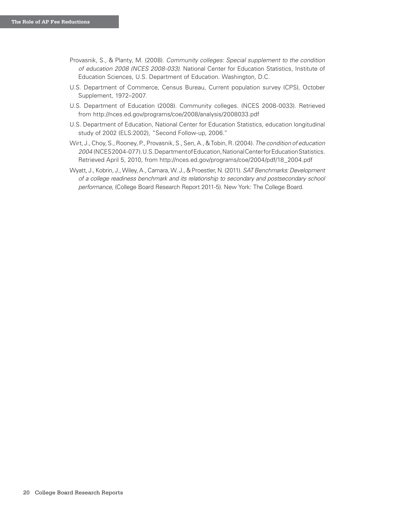- Provasnik, S., & Planty, M. (2008). Community colleges: Special supplement to the condition of education 2008 (NCES 2008-033). National Center for Education Statistics, Institute of Education Sciences, U.S. Department of Education. Washington, D.C.
- U.S. Department of Commerce, Census Bureau, Current population survey (CPS), October Supplement, 1972–2007.
- U.S. Department of Education (2008). Community colleges. (NCES 2008-0033). Retrieved from http://nces.ed.gov/programs/coe/2008/analysis/2008033.pdf
- U.S. Department of Education, National Center for Education Statistics, education longitudinal study of 2002 (ELS:2002), "Second Follow-up, 2006."
- Wirt, J., Choy, S., Rooney, P., Provasnik, S., Sen, A., & Tobin, R. (2004). The condition of education 2004 (NCES 2004-077). U.S. Department of Education, National Center for Education Statistics. Retrieved April 5, 2010, from http://nces.ed.gov/programs/coe/2004/pdf/18\_2004.pdf
- Wyatt, J., Kobrin, J., Wiley, A., Camara, W. J., & Proestler, N. (2011). SAT Benchmarks: Development of a college readiness benchmark and its relationship to secondary and postsecondary school performance, (College Board Research Report 2011-5). New York: The College Board.